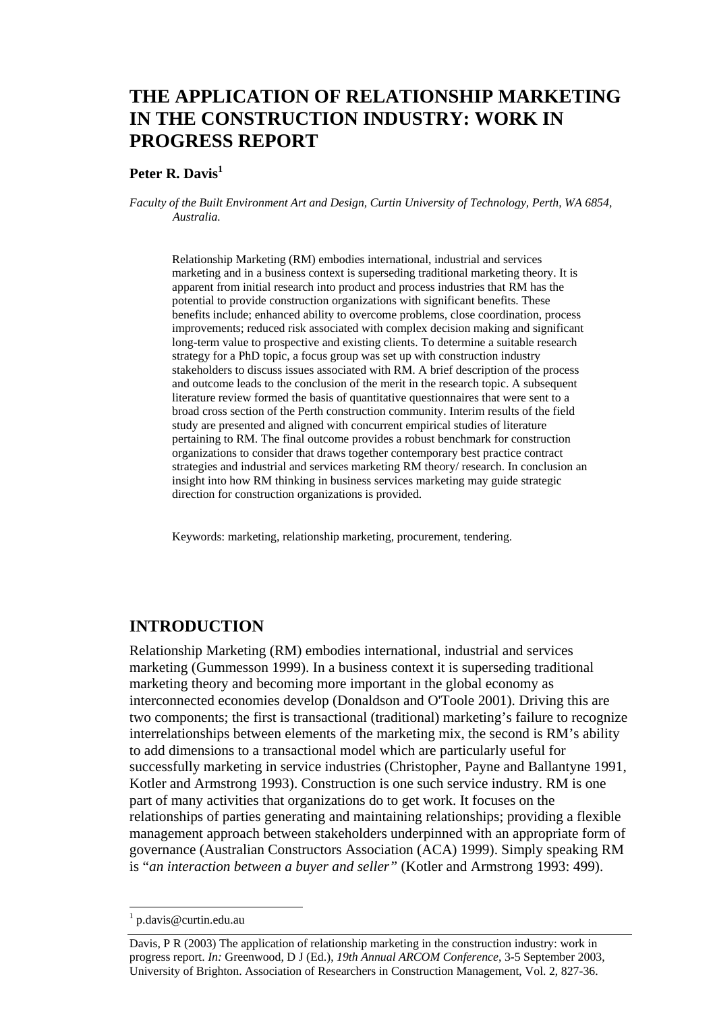# **THE APPLICATION OF RELATIONSHIP MARKETING IN THE CONSTRUCTION INDUSTRY: WORK IN PROGRESS REPORT**

#### Peter R. Davis<sup>1</sup>

*Faculty of the Built Environment Art and Design, Curtin University of Technology, Perth, WA 6854, Australia.* 

Relationship Marketing (RM) embodies international, industrial and services marketing and in a business context is superseding traditional marketing theory. It is apparent from initial research into product and process industries that RM has the potential to provide construction organizations with significant benefits. These benefits include; enhanced ability to overcome problems, close coordination, process improvements; reduced risk associated with complex decision making and significant long-term value to prospective and existing clients. To determine a suitable research strategy for a PhD topic, a focus group was set up with construction industry stakeholders to discuss issues associated with RM. A brief description of the process and outcome leads to the conclusion of the merit in the research topic. A subsequent literature review formed the basis of quantitative questionnaires that were sent to a broad cross section of the Perth construction community. Interim results of the field study are presented and aligned with concurrent empirical studies of literature pertaining to RM. The final outcome provides a robust benchmark for construction organizations to consider that draws together contemporary best practice contract strategies and industrial and services marketing RM theory/ research. In conclusion an insight into how RM thinking in business services marketing may guide strategic direction for construction organizations is provided.

Keywords: marketing, relationship marketing, procurement, tendering.

#### **INTRODUCTION**

Relationship Marketing (RM) embodies international, industrial and services marketing (Gummesson 1999). In a business context it is superseding traditional marketing theory and becoming more important in the global economy as interconnected economies develop (Donaldson and O'Toole 2001). Driving this are two components; the first is transactional (traditional) marketing's failure to recognize interrelationships between elements of the marketing mix, the second is RM's ability to add dimensions to a transactional model which are particularly useful for successfully marketing in service industries (Christopher, Payne and Ballantyne 1991, Kotler and Armstrong 1993). Construction is one such service industry. RM is one part of many activities that organizations do to get work. It focuses on the relationships of parties generating and maintaining relationships; providing a flexible management approach between stakeholders underpinned with an appropriate form of governance (Australian Constructors Association (ACA) 1999). Simply speaking RM is "*an interaction between a buyer and seller"* (Kotler and Armstrong 1993: 499).

l

<sup>1</sup> p.davis@curtin.edu.au

Davis, P R (2003) The application of relationship marketing in the construction industry: work in progress report. *In:* Greenwood, D J (Ed.), *19th Annual ARCOM Conference*, 3-5 September 2003, University of Brighton. Association of Researchers in Construction Management, Vol. 2, 827-36.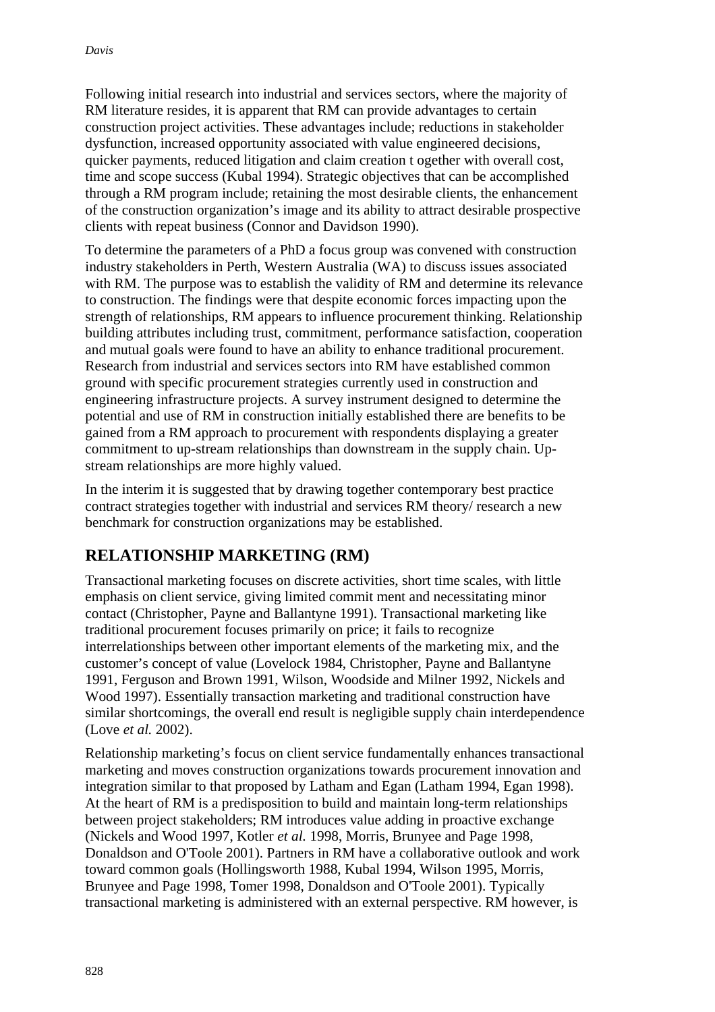Following initial research into industrial and services sectors, where the majority of RM literature resides, it is apparent that RM can provide advantages to certain construction project activities. These advantages include; reductions in stakeholder dysfunction, increased opportunity associated with value engineered decisions, quicker payments, reduced litigation and claim creation t ogether with overall cost, time and scope success (Kubal 1994). Strategic objectives that can be accomplished through a RM program include; retaining the most desirable clients, the enhancement of the construction organization's image and its ability to attract desirable prospective clients with repeat business (Connor and Davidson 1990).

To determine the parameters of a PhD a focus group was convened with construction industry stakeholders in Perth, Western Australia (WA) to discuss issues associated with RM. The purpose was to establish the validity of RM and determine its relevance to construction. The findings were that despite economic forces impacting upon the strength of relationships, RM appears to influence procurement thinking. Relationship building attributes including trust, commitment, performance satisfaction, cooperation and mutual goals were found to have an ability to enhance traditional procurement. Research from industrial and services sectors into RM have established common ground with specific procurement strategies currently used in construction and engineering infrastructure projects. A survey instrument designed to determine the potential and use of RM in construction initially established there are benefits to be gained from a RM approach to procurement with respondents displaying a greater commitment to up-stream relationships than downstream in the supply chain. Upstream relationships are more highly valued.

In the interim it is suggested that by drawing together contemporary best practice contract strategies together with industrial and services RM theory/ research a new benchmark for construction organizations may be established.

# **RELATIONSHIP MARKETING (RM)**

Transactional marketing focuses on discrete activities, short time scales, with little emphasis on client service, giving limited commit ment and necessitating minor contact (Christopher, Payne and Ballantyne 1991). Transactional marketing like traditional procurement focuses primarily on price; it fails to recognize interrelationships between other important elements of the marketing mix, and the customer's concept of value (Lovelock 1984, Christopher, Payne and Ballantyne 1991, Ferguson and Brown 1991, Wilson, Woodside and Milner 1992, Nickels and Wood 1997). Essentially transaction marketing and traditional construction have similar shortcomings, the overall end result is negligible supply chain interdependence (Love *et al.* 2002).

Relationship marketing's focus on client service fundamentally enhances transactional marketing and moves construction organizations towards procurement innovation and integration similar to that proposed by Latham and Egan (Latham 1994, Egan 1998). At the heart of RM is a predisposition to build and maintain long-term relationships between project stakeholders; RM introduces value adding in proactive exchange (Nickels and Wood 1997, Kotler *et al.* 1998, Morris, Brunyee and Page 1998, Donaldson and O'Toole 2001). Partners in RM have a collaborative outlook and work toward common goals (Hollingsworth 1988, Kubal 1994, Wilson 1995, Morris, Brunyee and Page 1998, Tomer 1998, Donaldson and O'Toole 2001). Typically transactional marketing is administered with an external perspective. RM however, is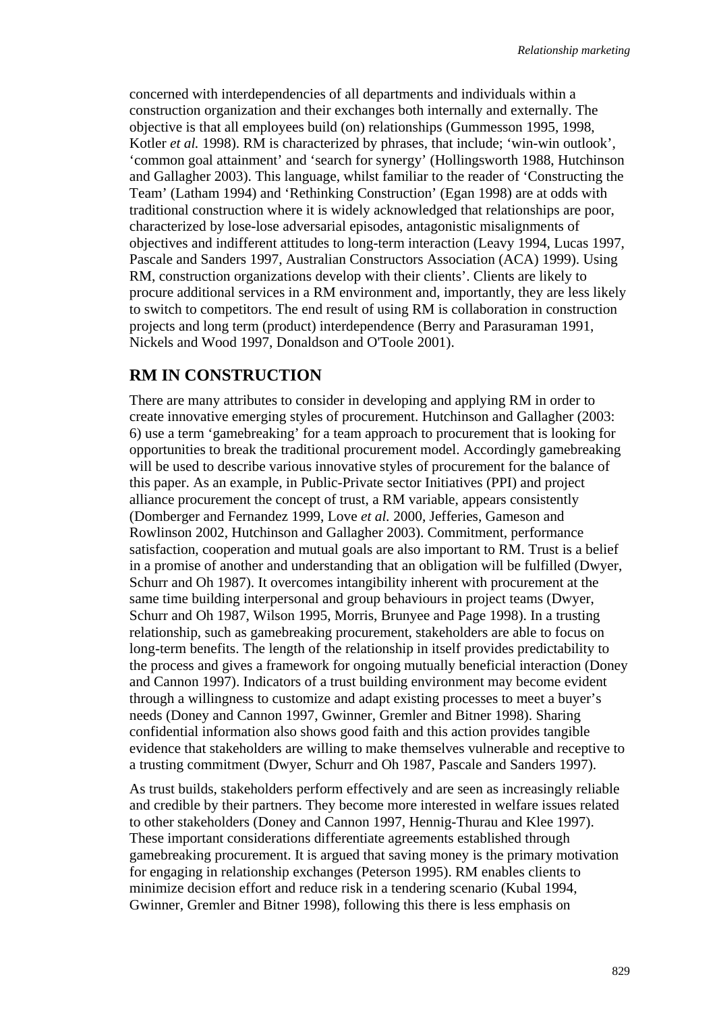concerned with interdependencies of all departments and individuals within a construction organization and their exchanges both internally and externally. The objective is that all employees build (on) relationships (Gummesson 1995, 1998, Kotler *et al.* 1998). RM is characterized by phrases, that include; 'win-win outlook', 'common goal attainment' and 'search for synergy' (Hollingsworth 1988, Hutchinson and Gallagher 2003). This language, whilst familiar to the reader of 'Constructing the Team' (Latham 1994) and 'Rethinking Construction' (Egan 1998) are at odds with traditional construction where it is widely acknowledged that relationships are poor, characterized by lose-lose adversarial episodes, antagonistic misalignments of objectives and indifferent attitudes to long-term interaction (Leavy 1994, Lucas 1997, Pascale and Sanders 1997, Australian Constructors Association (ACA) 1999). Using RM, construction organizations develop with their clients'. Clients are likely to procure additional services in a RM environment and, importantly, they are less likely to switch to competitors. The end result of using RM is collaboration in construction projects and long term (product) interdependence (Berry and Parasuraman 1991, Nickels and Wood 1997, Donaldson and O'Toole 2001).

### **RM IN CONSTRUCTION**

There are many attributes to consider in developing and applying RM in order to create innovative emerging styles of procurement. Hutchinson and Gallagher (2003: 6) use a term 'gamebreaking' for a team approach to procurement that is looking for opportunities to break the traditional procurement model. Accordingly gamebreaking will be used to describe various innovative styles of procurement for the balance of this paper. As an example, in Public-Private sector Initiatives (PPI) and project alliance procurement the concept of trust, a RM variable, appears consistently (Domberger and Fernandez 1999, Love *et al.* 2000, Jefferies, Gameson and Rowlinson 2002, Hutchinson and Gallagher 2003). Commitment, performance satisfaction, cooperation and mutual goals are also important to RM. Trust is a belief in a promise of another and understanding that an obligation will be fulfilled (Dwyer, Schurr and Oh 1987). It overcomes intangibility inherent with procurement at the same time building interpersonal and group behaviours in project teams (Dwyer, Schurr and Oh 1987, Wilson 1995, Morris, Brunyee and Page 1998). In a trusting relationship, such as gamebreaking procurement, stakeholders are able to focus on long-term benefits. The length of the relationship in itself provides predictability to the process and gives a framework for ongoing mutually beneficial interaction (Doney and Cannon 1997). Indicators of a trust building environment may become evident through a willingness to customize and adapt existing processes to meet a buyer's needs (Doney and Cannon 1997, Gwinner, Gremler and Bitner 1998). Sharing confidential information also shows good faith and this action provides tangible evidence that stakeholders are willing to make themselves vulnerable and receptive to a trusting commitment (Dwyer, Schurr and Oh 1987, Pascale and Sanders 1997).

As trust builds, stakeholders perform effectively and are seen as increasingly reliable and credible by their partners. They become more interested in welfare issues related to other stakeholders (Doney and Cannon 1997, Hennig-Thurau and Klee 1997). These important considerations differentiate agreements established through gamebreaking procurement. It is argued that saving money is the primary motivation for engaging in relationship exchanges (Peterson 1995). RM enables clients to minimize decision effort and reduce risk in a tendering scenario (Kubal 1994, Gwinner, Gremler and Bitner 1998), following this there is less emphasis on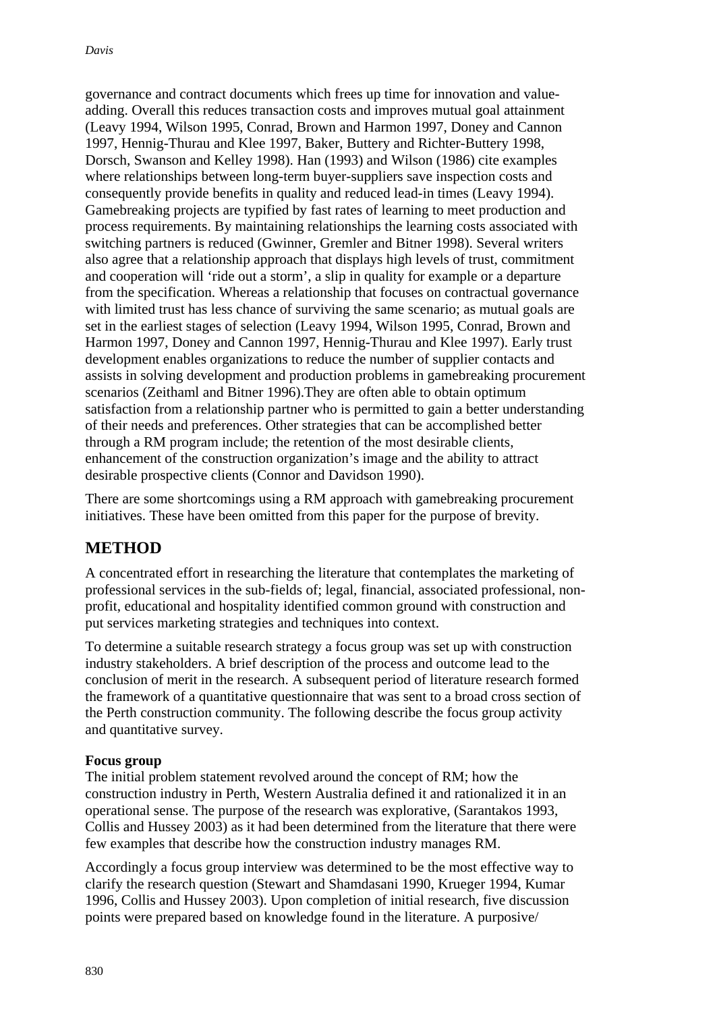governance and contract documents which frees up time for innovation and valueadding. Overall this reduces transaction costs and improves mutual goal attainment (Leavy 1994, Wilson 1995, Conrad, Brown and Harmon 1997, Doney and Cannon 1997, Hennig-Thurau and Klee 1997, Baker, Buttery and Richter-Buttery 1998, Dorsch, Swanson and Kelley 1998). Han (1993) and Wilson (1986) cite examples where relationships between long-term buyer-suppliers save inspection costs and consequently provide benefits in quality and reduced lead-in times (Leavy 1994). Gamebreaking projects are typified by fast rates of learning to meet production and process requirements. By maintaining relationships the learning costs associated with switching partners is reduced (Gwinner, Gremler and Bitner 1998). Several writers also agree that a relationship approach that displays high levels of trust, commitment and cooperation will 'ride out a storm', a slip in quality for example or a departure from the specification. Whereas a relationship that focuses on contractual governance with limited trust has less chance of surviving the same scenario; as mutual goals are set in the earliest stages of selection (Leavy 1994, Wilson 1995, Conrad, Brown and Harmon 1997, Doney and Cannon 1997, Hennig-Thurau and Klee 1997). Early trust development enables organizations to reduce the number of supplier contacts and assists in solving development and production problems in gamebreaking procurement scenarios (Zeithaml and Bitner 1996).They are often able to obtain optimum satisfaction from a relationship partner who is permitted to gain a better understanding of their needs and preferences. Other strategies that can be accomplished better through a RM program include; the retention of the most desirable clients, enhancement of the construction organization's image and the ability to attract desirable prospective clients (Connor and Davidson 1990).

There are some shortcomings using a RM approach with gamebreaking procurement initiatives. These have been omitted from this paper for the purpose of brevity.

## **METHOD**

A concentrated effort in researching the literature that contemplates the marketing of professional services in the sub-fields of; legal, financial, associated professional, nonprofit, educational and hospitality identified common ground with construction and put services marketing strategies and techniques into context.

To determine a suitable research strategy a focus group was set up with construction industry stakeholders. A brief description of the process and outcome lead to the conclusion of merit in the research. A subsequent period of literature research formed the framework of a quantitative questionnaire that was sent to a broad cross section of the Perth construction community. The following describe the focus group activity and quantitative survey.

#### **Focus group**

The initial problem statement revolved around the concept of RM; how the construction industry in Perth, Western Australia defined it and rationalized it in an operational sense. The purpose of the research was explorative, (Sarantakos 1993, Collis and Hussey 2003) as it had been determined from the literature that there were few examples that describe how the construction industry manages RM.

Accordingly a focus group interview was determined to be the most effective way to clarify the research question (Stewart and Shamdasani 1990, Krueger 1994, Kumar 1996, Collis and Hussey 2003). Upon completion of initial research, five discussion points were prepared based on knowledge found in the literature. A purposive/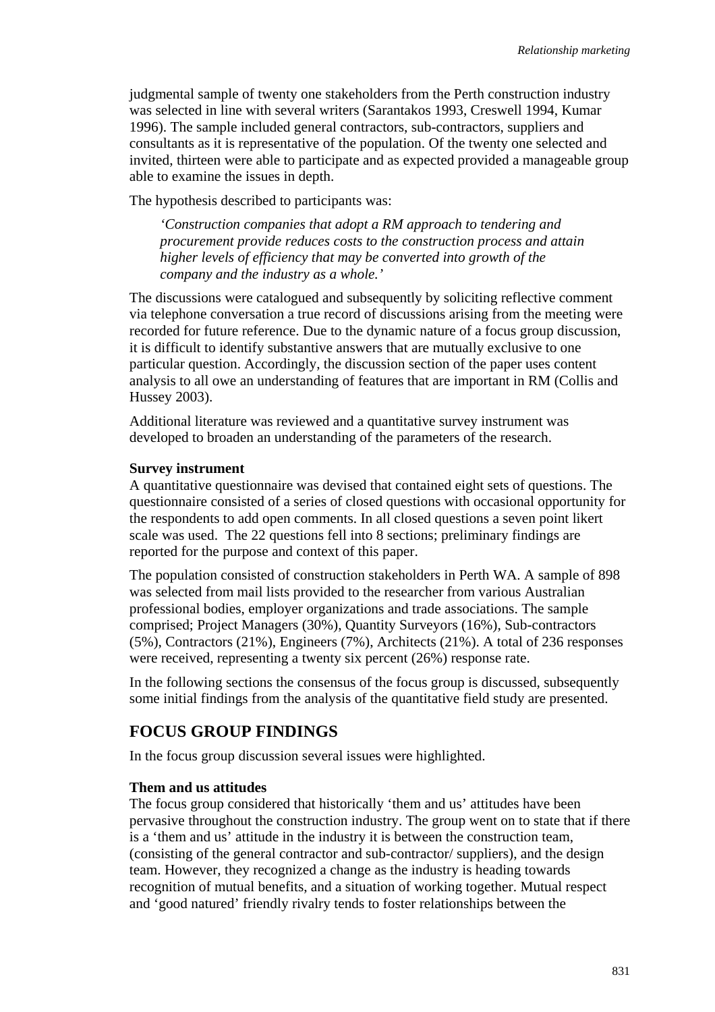judgmental sample of twenty one stakeholders from the Perth construction industry was selected in line with several writers (Sarantakos 1993, Creswell 1994, Kumar 1996). The sample included general contractors, sub-contractors, suppliers and consultants as it is representative of the population. Of the twenty one selected and invited, thirteen were able to participate and as expected provided a manageable group able to examine the issues in depth.

The hypothesis described to participants was:

*'Construction companies that adopt a RM approach to tendering and procurement provide reduces costs to the construction process and attain higher levels of efficiency that may be converted into growth of the company and the industry as a whole.'* 

The discussions were catalogued and subsequently by soliciting reflective comment via telephone conversation a true record of discussions arising from the meeting were recorded for future reference. Due to the dynamic nature of a focus group discussion, it is difficult to identify substantive answers that are mutually exclusive to one particular question. Accordingly, the discussion section of the paper uses content analysis to all owe an understanding of features that are important in RM (Collis and Hussey 2003).

Additional literature was reviewed and a quantitative survey instrument was developed to broaden an understanding of the parameters of the research.

#### **Survey instrument**

A quantitative questionnaire was devised that contained eight sets of questions. The questionnaire consisted of a series of closed questions with occasional opportunity for the respondents to add open comments. In all closed questions a seven point likert scale was used. The 22 questions fell into 8 sections; preliminary findings are reported for the purpose and context of this paper.

The population consisted of construction stakeholders in Perth WA. A sample of 898 was selected from mail lists provided to the researcher from various Australian professional bodies, employer organizations and trade associations. The sample comprised; Project Managers (30%), Quantity Surveyors (16%), Sub-contractors (5%), Contractors (21%), Engineers (7%), Architects (21%). A total of 236 responses were received, representing a twenty six percent (26%) response rate.

In the following sections the consensus of the focus group is discussed, subsequently some initial findings from the analysis of the quantitative field study are presented.

#### **FOCUS GROUP FINDINGS**

In the focus group discussion several issues were highlighted.

#### **Them and us attitudes**

The focus group considered that historically 'them and us' attitudes have been pervasive throughout the construction industry. The group went on to state that if there is a 'them and us' attitude in the industry it is between the construction team, (consisting of the general contractor and sub-contractor/ suppliers), and the design team. However, they recognized a change as the industry is heading towards recognition of mutual benefits, and a situation of working together. Mutual respect and 'good natured' friendly rivalry tends to foster relationships between the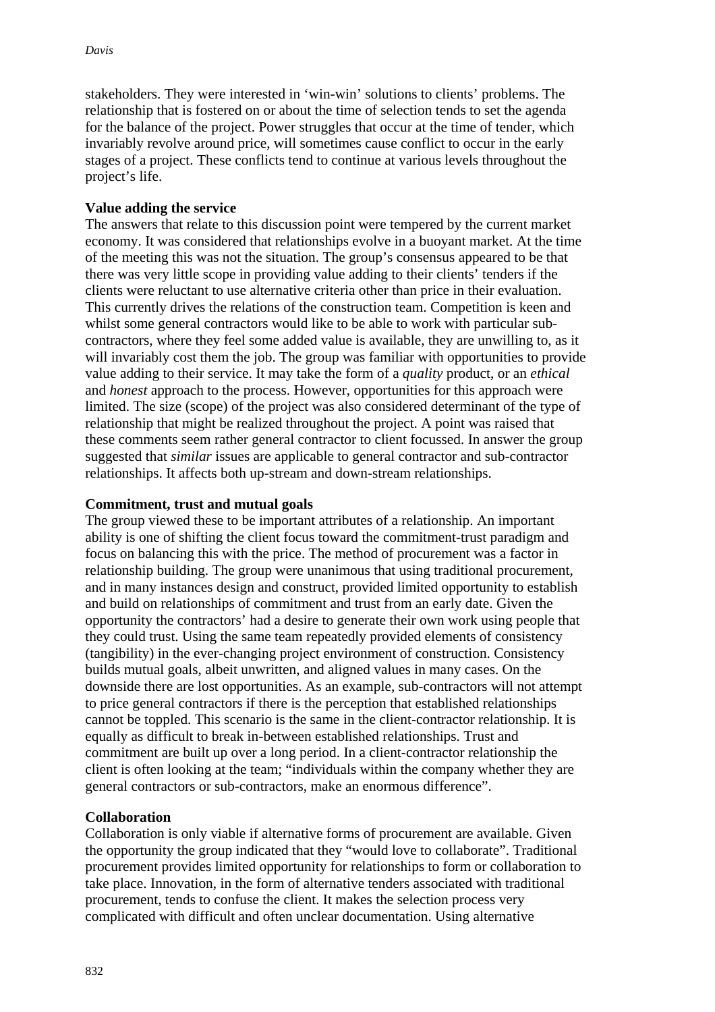stakeholders. They were interested in 'win-win' solutions to clients' problems. The relationship that is fostered on or about the time of selection tends to set the agenda for the balance of the project. Power struggles that occur at the time of tender, which invariably revolve around price, will sometimes cause conflict to occur in the early stages of a project. These conflicts tend to continue at various levels throughout the project's life.

#### **Value adding the service**

The answers that relate to this discussion point were tempered by the current market economy. It was considered that relationships evolve in a buoyant market. At the time of the meeting this was not the situation. The group's consensus appeared to be that there was very little scope in providing value adding to their clients' tenders if the clients were reluctant to use alternative criteria other than price in their evaluation. This currently drives the relations of the construction team. Competition is keen and whilst some general contractors would like to be able to work with particular subcontractors, where they feel some added value is available, they are unwilling to, as it will invariably cost them the job. The group was familiar with opportunities to provide value adding to their service. It may take the form of a *quality* product, or an *ethical* and *honest* approach to the process. However, opportunities for this approach were limited. The size (scope) of the project was also considered determinant of the type of relationship that might be realized throughout the project. A point was raised that these comments seem rather general contractor to client focussed. In answer the group suggested that *similar* issues are applicable to general contractor and sub-contractor relationships. It affects both up-stream and down-stream relationships.

#### **Commitment, trust and mutual goals**

The group viewed these to be important attributes of a relationship. An important ability is one of shifting the client focus toward the commitment-trust paradigm and focus on balancing this with the price. The method of procurement was a factor in relationship building. The group were unanimous that using traditional procurement, and in many instances design and construct, provided limited opportunity to establish and build on relationships of commitment and trust from an early date. Given the opportunity the contractors' had a desire to generate their own work using people that they could trust. Using the same team repeatedly provided elements of consistency (tangibility) in the ever-changing project environment of construction. Consistency builds mutual goals, albeit unwritten, and aligned values in many cases. On the downside there are lost opportunities. As an example, sub-contractors will not attempt to price general contractors if there is the perception that established relationships cannot be toppled. This scenario is the same in the client-contractor relationship. It is equally as difficult to break in-between established relationships. Trust and commitment are built up over a long period. In a client-contractor relationship the client is often looking at the team; "individuals within the company whether they are general contractors or sub-contractors, make an enormous difference".

#### **Collaboration**

Collaboration is only viable if alternative forms of procurement are available. Given the opportunity the group indicated that they "would love to collaborate". Traditional procurement provides limited opportunity for relationships to form or collaboration to take place. Innovation, in the form of alternative tenders associated with traditional procurement, tends to confuse the client. It makes the selection process very complicated with difficult and often unclear documentation. Using alternative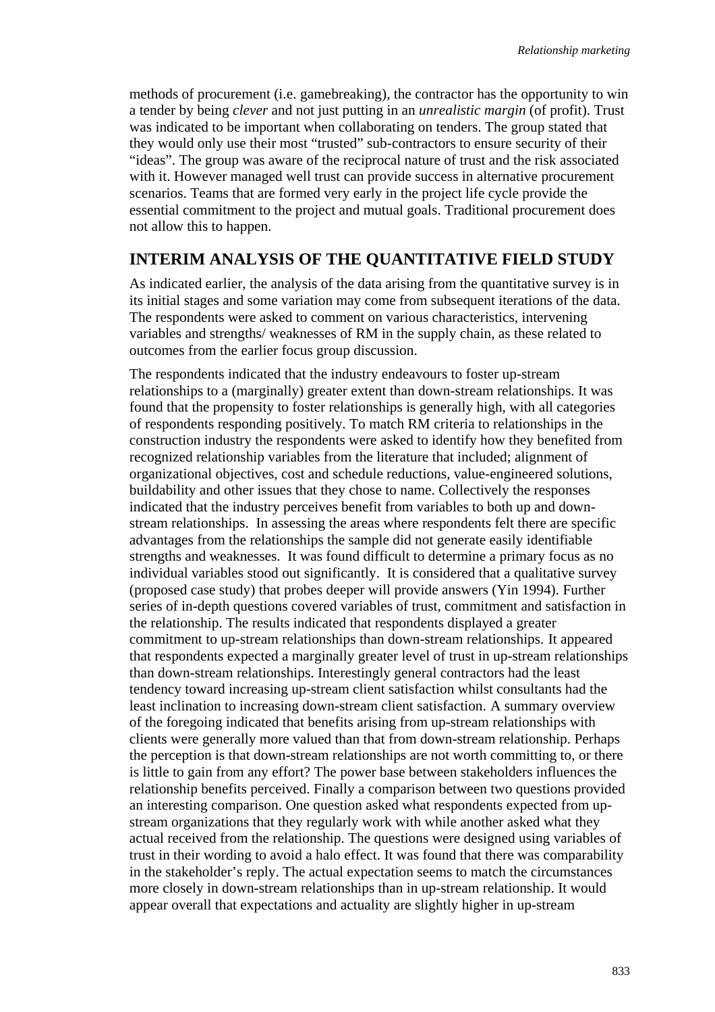methods of procurement (i.e. gamebreaking), the contractor has the opportunity to win a tender by being *clever* and not just putting in an *unrealistic margin* (of profit). Trust was indicated to be important when collaborating on tenders. The group stated that they would only use their most "trusted" sub-contractors to ensure security of their "ideas". The group was aware of the reciprocal nature of trust and the risk associated with it. However managed well trust can provide success in alternative procurement scenarios. Teams that are formed very early in the project life cycle provide the essential commitment to the project and mutual goals. Traditional procurement does not allow this to happen.

#### **INTERIM ANALYSIS OF THE QUANTITATIVE FIELD STUDY**

As indicated earlier, the analysis of the data arising from the quantitative survey is in its initial stages and some variation may come from subsequent iterations of the data. The respondents were asked to comment on various characteristics, intervening variables and strengths/ weaknesses of RM in the supply chain, as these related to outcomes from the earlier focus group discussion.

The respondents indicated that the industry endeavours to foster up-stream relationships to a (marginally) greater extent than down-stream relationships. It was found that the propensity to foster relationships is generally high, with all categories of respondents responding positively. To match RM criteria to relationships in the construction industry the respondents were asked to identify how they benefited from recognized relationship variables from the literature that included; alignment of organizational objectives, cost and schedule reductions, value-engineered solutions, buildability and other issues that they chose to name. Collectively the responses indicated that the industry perceives benefit from variables to both up and downstream relationships. In assessing the areas where respondents felt there are specific advantages from the relationships the sample did not generate easily identifiable strengths and weaknesses. It was found difficult to determine a primary focus as no individual variables stood out significantly. It is considered that a qualitative survey (proposed case study) that probes deeper will provide answers (Yin 1994). Further series of in-depth questions covered variables of trust, commitment and satisfaction in the relationship. The results indicated that respondents displayed a greater commitment to up-stream relationships than down-stream relationships. It appeared that respondents expected a marginally greater level of trust in up-stream relationships than down-stream relationships. Interestingly general contractors had the least tendency toward increasing up-stream client satisfaction whilst consultants had the least inclination to increasing down-stream client satisfaction. A summary overview of the foregoing indicated that benefits arising from up-stream relationships with clients were generally more valued than that from down-stream relationship. Perhaps the perception is that down-stream relationships are not worth committing to, or there is little to gain from any effort? The power base between stakeholders influences the relationship benefits perceived. Finally a comparison between two questions provided an interesting comparison. One question asked what respondents expected from upstream organizations that they regularly work with while another asked what they actual received from the relationship. The questions were designed using variables of trust in their wording to avoid a halo effect. It was found that there was comparability in the stakeholder's reply. The actual expectation seems to match the circumstances more closely in down-stream relationships than in up-stream relationship. It would appear overall that expectations and actuality are slightly higher in up-stream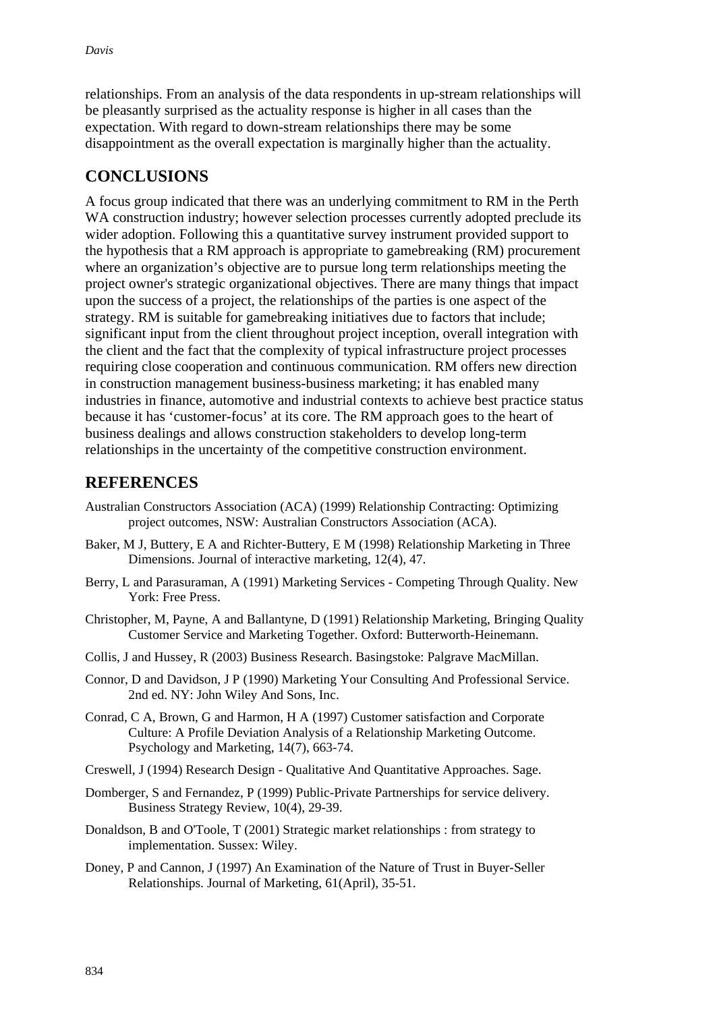relationships. From an analysis of the data respondents in up-stream relationships will be pleasantly surprised as the actuality response is higher in all cases than the expectation. With regard to down-stream relationships there may be some disappointment as the overall expectation is marginally higher than the actuality.

## **CONCLUSIONS**

A focus group indicated that there was an underlying commitment to RM in the Perth WA construction industry; however selection processes currently adopted preclude its wider adoption. Following this a quantitative survey instrument provided support to the hypothesis that a RM approach is appropriate to gamebreaking (RM) procurement where an organization's objective are to pursue long term relationships meeting the project owner's strategic organizational objectives. There are many things that impact upon the success of a project, the relationships of the parties is one aspect of the strategy. RM is suitable for gamebreaking initiatives due to factors that include; significant input from the client throughout project inception, overall integration with the client and the fact that the complexity of typical infrastructure project processes requiring close cooperation and continuous communication. RM offers new direction in construction management business-business marketing; it has enabled many industries in finance, automotive and industrial contexts to achieve best practice status because it has 'customer-focus' at its core. The RM approach goes to the heart of business dealings and allows construction stakeholders to develop long-term relationships in the uncertainty of the competitive construction environment.

### **REFERENCES**

- Australian Constructors Association (ACA) (1999) Relationship Contracting: Optimizing project outcomes, NSW: Australian Constructors Association (ACA).
- Baker, M J, Buttery, E A and Richter-Buttery, E M (1998) Relationship Marketing in Three Dimensions. Journal of interactive marketing, 12(4), 47.
- Berry, L and Parasuraman, A (1991) Marketing Services Competing Through Quality. New York: Free Press.
- Christopher, M, Payne, A and Ballantyne, D (1991) Relationship Marketing, Bringing Quality Customer Service and Marketing Together. Oxford: Butterworth-Heinemann.
- Collis, J and Hussey, R (2003) Business Research. Basingstoke: Palgrave MacMillan.
- Connor, D and Davidson, J P (1990) Marketing Your Consulting And Professional Service. 2nd ed. NY: John Wiley And Sons, Inc.
- Conrad, C A, Brown, G and Harmon, H A (1997) Customer satisfaction and Corporate Culture: A Profile Deviation Analysis of a Relationship Marketing Outcome. Psychology and Marketing, 14(7), 663-74.
- Creswell, J (1994) Research Design Qualitative And Quantitative Approaches. Sage.
- Domberger, S and Fernandez, P (1999) Public-Private Partnerships for service delivery. Business Strategy Review, 10(4), 29-39.
- Donaldson, B and O'Toole, T (2001) Strategic market relationships : from strategy to implementation. Sussex: Wiley.
- Doney, P and Cannon, J (1997) An Examination of the Nature of Trust in Buyer-Seller Relationships. Journal of Marketing, 61(April), 35-51.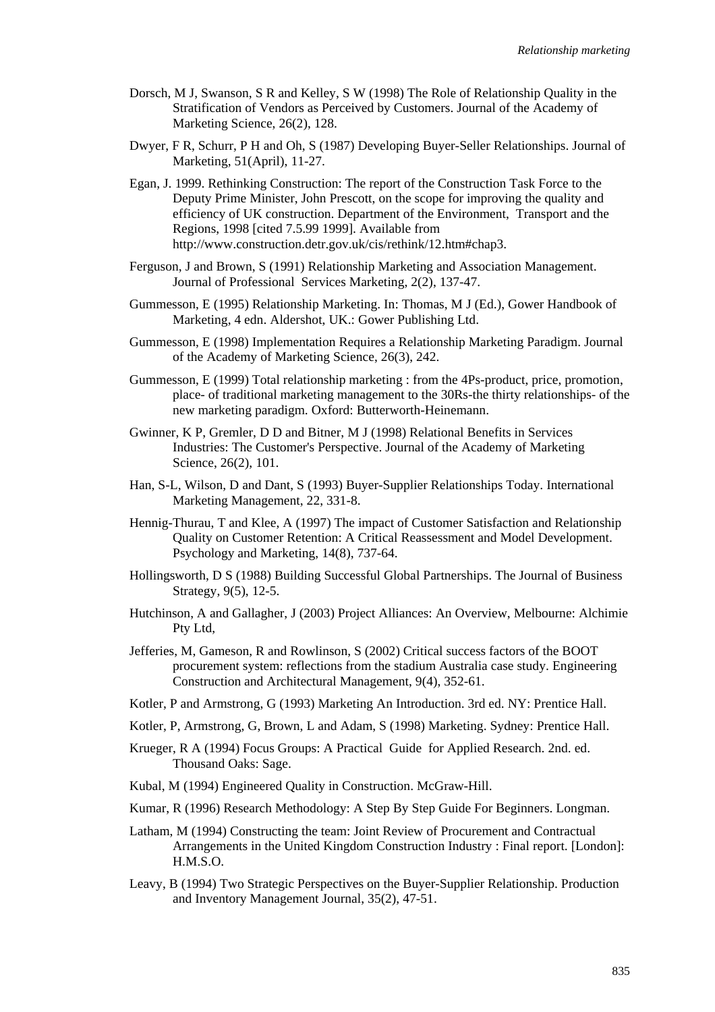- Dorsch, M J, Swanson, S R and Kelley, S W (1998) The Role of Relationship Quality in the Stratification of Vendors as Perceived by Customers. Journal of the Academy of Marketing Science, 26(2), 128.
- Dwyer, F R, Schurr, P H and Oh, S (1987) Developing Buyer-Seller Relationships. Journal of Marketing, 51(April), 11-27.
- Egan, J. 1999. Rethinking Construction: The report of the Construction Task Force to the Deputy Prime Minister, John Prescott, on the scope for improving the quality and efficiency of UK construction. Department of the Environment, Transport and the Regions, 1998 [cited 7.5.99 1999]. Available from http://www.construction.detr.gov.uk/cis/rethink/12.htm#chap3.
- Ferguson, J and Brown, S (1991) Relationship Marketing and Association Management. Journal of Professional Services Marketing, 2(2), 137-47.
- Gummesson, E (1995) Relationship Marketing. In: Thomas, M J (Ed.), Gower Handbook of Marketing, 4 edn. Aldershot, UK.: Gower Publishing Ltd.
- Gummesson, E (1998) Implementation Requires a Relationship Marketing Paradigm. Journal of the Academy of Marketing Science, 26(3), 242.
- Gummesson, E (1999) Total relationship marketing : from the 4Ps-product, price, promotion, place- of traditional marketing management to the 30Rs-the thirty relationships- of the new marketing paradigm. Oxford: Butterworth-Heinemann.
- Gwinner, K P, Gremler, D D and Bitner, M J (1998) Relational Benefits in Services Industries: The Customer's Perspective. Journal of the Academy of Marketing Science, 26(2), 101.
- Han, S-L, Wilson, D and Dant, S (1993) Buyer-Supplier Relationships Today. International Marketing Management, 22, 331-8.
- Hennig-Thurau, T and Klee, A (1997) The impact of Customer Satisfaction and Relationship Quality on Customer Retention: A Critical Reassessment and Model Development. Psychology and Marketing, 14(8), 737-64.
- Hollingsworth, D S (1988) Building Successful Global Partnerships. The Journal of Business Strategy, 9(5), 12-5.
- Hutchinson, A and Gallagher, J (2003) Project Alliances: An Overview, Melbourne: Alchimie Pty Ltd,
- Jefferies, M, Gameson, R and Rowlinson, S (2002) Critical success factors of the BOOT procurement system: reflections from the stadium Australia case study. Engineering Construction and Architectural Management, 9(4), 352-61.
- Kotler, P and Armstrong, G (1993) Marketing An Introduction. 3rd ed. NY: Prentice Hall.
- Kotler, P, Armstrong, G, Brown, L and Adam, S (1998) Marketing. Sydney: Prentice Hall.
- Krueger, R A (1994) Focus Groups: A Practical Guide for Applied Research. 2nd. ed. Thousand Oaks: Sage.
- Kubal, M (1994) Engineered Quality in Construction. McGraw-Hill.
- Kumar, R (1996) Research Methodology: A Step By Step Guide For Beginners. Longman.
- Latham, M (1994) Constructing the team: Joint Review of Procurement and Contractual Arrangements in the United Kingdom Construction Industry : Final report. [London]: H.M.S.O.
- Leavy, B (1994) Two Strategic Perspectives on the Buyer-Supplier Relationship. Production and Inventory Management Journal, 35(2), 47-51.